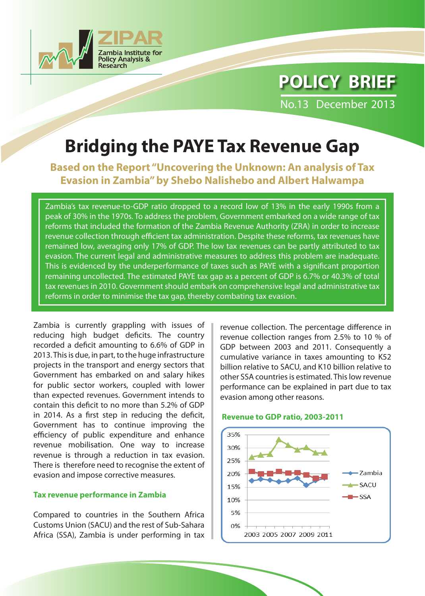

# **POLICY BRIEF**

No.13 December 2013

## **Bridging the PAYE Tax Revenue Gap**

**Based on the Report "Uncovering the Unknown: An analysis of Tax Evasion in Zambia" by Shebo Nalishebo and Albert Halwampa** 

Zambia's tax revenue-to-GDP ratio dropped to a record low of 13% in the early 1990s from a peak of 30% in the 1970s. To address the problem, Government embarked on a wide range of tax reforms that included the formation of the Zambia Revenue Authority (ZRA) in order to increase revenue collection through efficient tax administration. Despite these reforms, tax revenues have remained low, averaging only 17% of GDP. The low tax revenues can be partly attributed to tax evasion. The current legal and administrative measures to address this problem are inadequate. This is evidenced by the underperformance of taxes such as PAYE with a significant proportion remaining uncollected. The estimated PAYE tax gap as a percent of GDP is 6.7% or 40.3% of total tax revenues in 2010. Government should embark on comprehensive legal and administrative tax reforms in order to minimise the tax gap, thereby combating tax evasion.

Zambia is currently grappling with issues of reducing high budget deficits. The country recorded a deficit amounting to 6.6% of GDP in 2013. This is due, in part, to the huge infrastructure projects in the transport and energy sectors that Government has embarked on and salary hikes for public sector workers, coupled with lower than expected revenues. Government intends to contain this deficit to no more than 5.2% of GDP in 2014. As a first step in reducing the deficit, Government has to continue improving the efficiency of public expenditure and enhance revenue mobilisation. One way to increase revenue is through a reduction in tax evasion. There is therefore need to recognise the extent of evasion and impose corrective measures.

#### **Tax revenue performance in Zambia**

Compared to countries in the Southern Africa Customs Union (SACU) and the rest of Sub-Sahara Africa (SSA), Zambia is under performing in tax revenue collection. The percentage difference in revenue collection ranges from 2.5% to 10 % of GDP between 2003 and 2011. Consequently a cumulative variance in taxes amounting to K52 billion relative to SACU, and K10 billion relative to other SSA countries is estimated. This low revenue performance can be explained in part due to tax evasion among other reasons.

#### **Revenue to GDP ratio, 2003-2011**

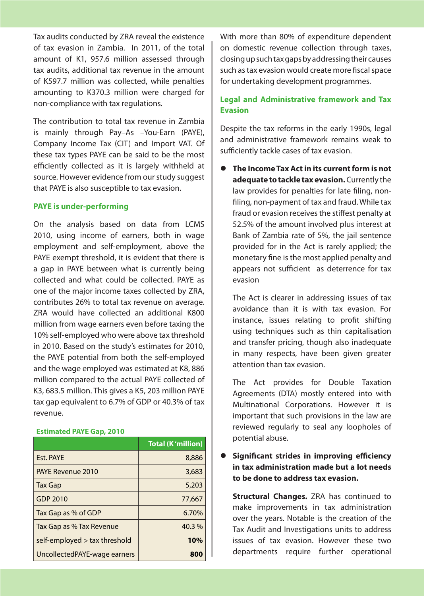Tax audits conducted by ZRA reveal the existence of tax evasion in Zambia. In 2011, of the total amount of K1, 957.6 million assessed through tax audits, additional tax revenue in the amount of K597.7 million was collected, while penalties amounting to K370.3 million were charged for non-compliance with tax regulations.

The contribution to total tax revenue in Zambia is mainly through Pay–As –You-Earn (PAYE), Company Income Tax (CIT) and Import VAT. Of these tax types PAYE can be said to be the most efficiently collected as it is largely withheld at source. However evidence from our study suggest that PAYE is also susceptible to tax evasion.

#### **PAYE is under-performing**

On the analysis based on data from LCMS 2010, using income of earners, both in wage employment and self-employment, above the PAYE exempt threshold, it is evident that there is a gap in PAYE between what is currently being collected and what could be collected. PAYE as one of the major income taxes collected by ZRA, contributes 26% to total tax revenue on average. ZRA would have collected an additional K800 million from wage earners even before taxing the 10% self-employed who were above tax threshold in 2010. Based on the study's estimates for 2010, the PAYE potential from both the self-employed and the wage employed was estimated at K8, 886 million compared to the actual PAYE collected of K3, 683.5 million. This gives a K5, 203 million PAYE tax gap equivalent to 6.7% of GDP or 40.3% of tax revenue.

#### **Estimated PAYE Gap, 2010**

|                                    | <b>Total (K'million)</b> |
|------------------------------------|--------------------------|
| Est. PAYE                          | 8,886                    |
| <b>PAYE Revenue 2010</b>           | 3,683                    |
| <b>Tax Gap</b>                     | 5,203                    |
| GDP 2010                           | 77,667                   |
| Tax Gap as % of GDP                | 6.70%                    |
| Tax Gap as % Tax Revenue           | 40.3%                    |
| $self$ -employed $>$ tax threshold | 10%                      |
| UncollectedPAYE-wage earners       | 800                      |

With more than 80% of expenditure dependent on domestic revenue collection through taxes, closing up such tax gaps by addressing their causes such as tax evasion would create more fiscal space for undertaking development programmes.

### **Legal and Administrative framework and Tax Evasion**

Despite the tax reforms in the early 1990s, legal and administrative framework remains weak to sufficiently tackle cases of tax evasion.

 **The Income Tax Act in its current form is not adequate to tackle tax evasion.** Currently the law provides for penalties for late filing, nonfiling, non-payment of tax and fraud. While tax fraud or evasion receives the stiffest penalty at 52.5% of the amount involved plus interest at Bank of Zambia rate of 5%, the jail sentence provided for in the Act is rarely applied; the monetary fine is the most applied penalty and appears not sufficient as deterrence for tax evasion

The Act is clearer in addressing issues of tax avoidance than it is with tax evasion. For instance, issues relating to profit shifting using techniques such as thin capitalisation and transfer pricing, though also inadequate in many respects, have been given greater attention than tax evasion.

The Act provides for Double Taxation Agreements (DTA) mostly entered into with Multinational Corporations. However it is important that such provisions in the law are reviewed regularly to seal any loopholes of potential abuse.

 **Significant strides in improving efficiency in tax administration made but a lot needs to be done to address tax evasion.**

**Structural Changes.** ZRA has continued to make improvements in tax administration over the years. Notable is the creation of the Tax Audit and Investigations units to address issues of tax evasion. However these two departments require further operational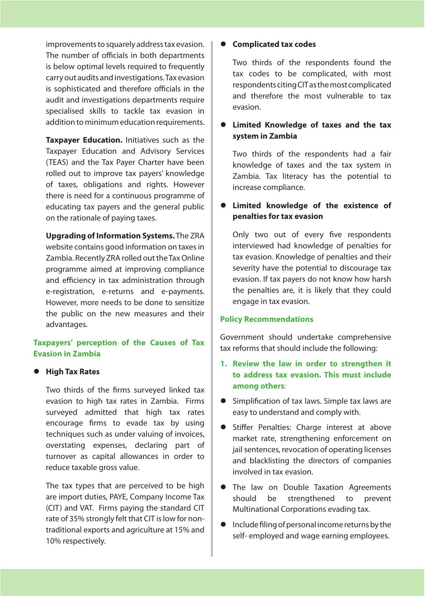improvements to squarely address tax evasion. The number of officials in both departments is below optimal levels required to frequently carry out audits and investigations. Tax evasion is sophisticated and therefore officials in the audit and investigations departments require specialised skills to tackle tax evasion in addition to minimum education requirements.

**Taxpayer Education.** Initiatives such as the Taxpayer Education and Advisory Services (TEAS) and the Tax Payer Charter have been rolled out to improve tax payers' knowledge of taxes, obligations and rights. However there is need for a continuous programme of educating tax payers and the general public on the rationale of paying taxes.

**Upgrading of Information Systems.** The ZRA website contains good information on taxes in Zambia. Recently ZRA rolled out the Tax Online programme aimed at improving compliance and efficiency in tax administration through e-registration, e-returns and e-payments. However, more needs to be done to sensitize the public on the new measures and their advantages.

## **Taxpayers' perception of the Causes of Tax Evasion in Zambia**

#### **High Tax Rates**

Two thirds of the firms surveyed linked tax evasion to high tax rates in Zambia. Firms surveyed admitted that high tax rates encourage firms to evade tax by using techniques such as under valuing of invoices, overstating expenses, declaring part of turnover as capital allowances in order to reduce taxable gross value.

The tax types that are perceived to be high are import duties, PAYE, Company Income Tax (CIT) and VAT. Firms paying the standard CIT rate of 35% strongly felt that CIT is low for nontraditional exports and agriculture at 15% and 10% respectively.

#### **Complicated tax codes**

Two thirds of the respondents found the tax codes to be complicated, with most respondents citing CIT as the most complicated and therefore the most vulnerable to tax evasion.

## **Limited Knowledge of taxes and the tax system in Zambia**

Two thirds of the respondents had a fair knowledge of taxes and the tax system in Zambia. Tax literacy has the potential to increase compliance.

## **Limited knowledge of the existence of penalties for tax evasion**

Only two out of every five respondents interviewed had knowledge of penalties for tax evasion. Knowledge of penalties and their severity have the potential to discourage tax evasion. If tax payers do not know how harsh the penalties are, it is likely that they could engage in tax evasion.

#### **Policy Recommendations**

Government should undertake comprehensive tax reforms that should include the following:

- **1. Review the law in order to strengthen it to address tax evasion. This must include among others**:
- **•** Simplification of tax laws. Simple tax laws are easy to understand and comply with.
- **•** Stiffer Penalties: Charge interest at above market rate, strengthening enforcement on jail sentences, revocation of operating licenses and blacklisting the directors of companies involved in tax evasion.
- **•** The law on Double Taxation Agreements should be strengthened to prevent Multinational Corporations evading tax.
- $\bullet$  Include filing of personal income returns by the self- employed and wage earning employees.